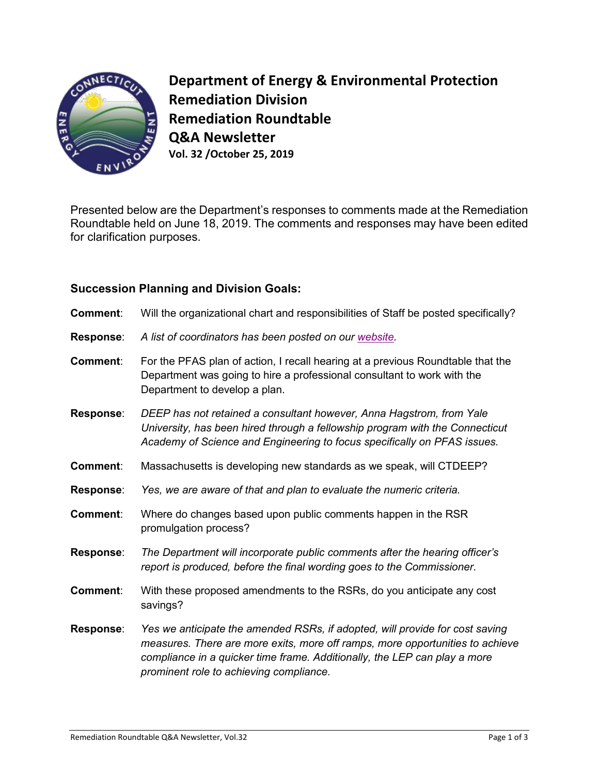

**Department of Energy & Environmental Protection Remediation Division Remediation Roundtable Q&A Newsletter Vol. 32 /October 25, 2019**

Presented below are the Department's responses to comments made at the Remediation Roundtable held on June 18, 2019. The comments and responses may have been edited for clarification purposes.

## **Succession Planning and Division Goals:**

- **Comment**: Will the organizational chart and responsibilities of Staff be posted specifically?
- **Response**: *A list of coordinators has been posted on our [website.](https://www.ct.gov/deep/cwp/view.asp?a=2715&Q=324994&deepNav_GID=1626)*
- **Comment**: For the PFAS plan of action, I recall hearing at a previous Roundtable that the Department was going to hire a professional consultant to work with the Department to develop a plan.
- **Response**: *DEEP has not retained a consultant however, Anna Hagstrom, from Yale University, has been hired through a fellowship program with the Connecticut Academy of Science and Engineering to focus specifically on PFAS issues.*
- **Comment**: Massachusetts is developing new standards as we speak, will CTDEEP?
- **Response**: *Yes, we are aware of that and plan to evaluate the numeric criteria.*
- **Comment**: Where do changes based upon public comments happen in the RSR promulgation process?
- **Response**: *The Department will incorporate public comments after the hearing officer's report is produced, before the final wording goes to the Commissioner.*
- **Comment**: With these proposed amendments to the RSRs, do you anticipate any cost savings?
- **Response**: *Yes we anticipate the amended RSRs, if adopted, will provide for cost saving measures. There are more exits, more off ramps, more opportunities to achieve compliance in a quicker time frame. Additionally, the LEP can play a more prominent role to achieving compliance.*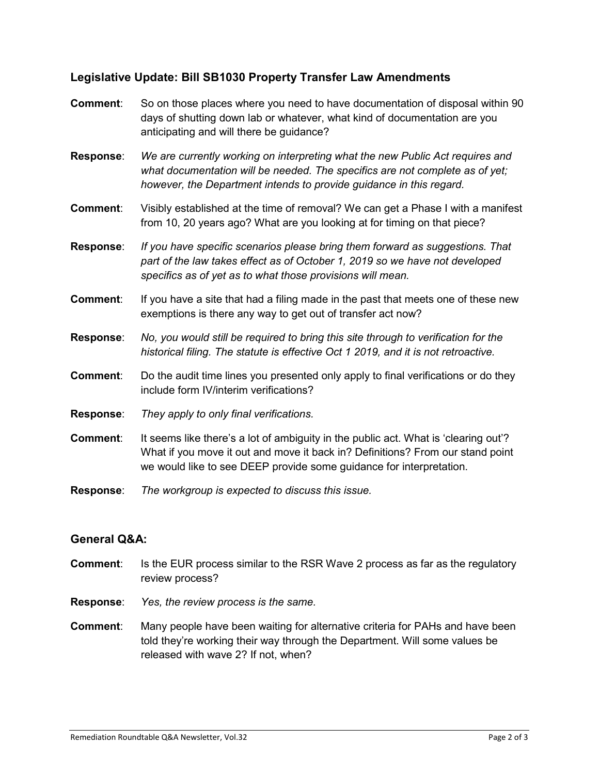## **Legislative Update: Bill SB1030 Property Transfer Law Amendments**

- **Comment**: So on those places where you need to have documentation of disposal within 90 days of shutting down lab or whatever, what kind of documentation are you anticipating and will there be guidance?
- **Response**: *We are currently working on interpreting what the new Public Act requires and what documentation will be needed. The specifics are not complete as of yet; however, the Department intends to provide guidance in this regard.*
- **Comment**: Visibly established at the time of removal? We can get a Phase I with a manifest from 10, 20 years ago? What are you looking at for timing on that piece?
- **Response**: *If you have specific scenarios please bring them forward as suggestions. That part of the law takes effect as of October 1, 2019 so we have not developed specifics as of yet as to what those provisions will mean.*
- **Comment:** If you have a site that had a filing made in the past that meets one of these new exemptions is there any way to get out of transfer act now?
- **Response**: *No, you would still be required to bring this site through to verification for the historical filing. The statute is effective Oct 1 2019, and it is not retroactive.*
- **Comment:** Do the audit time lines you presented only apply to final verifications or do they include form IV/interim verifications?
- **Response**: *They apply to only final verifications.*
- **Comment:** It seems like there's a lot of ambiguity in the public act. What is 'clearing out'? What if you move it out and move it back in? Definitions? From our stand point we would like to see DEEP provide some guidance for interpretation.
- **Response**: *The workgroup is expected to discuss this issue.*

## **General Q&A:**

- **Comment**: Is the EUR process similar to the RSR Wave 2 process as far as the regulatory review process?
- **Response**: *Yes, the review process is the same.*
- **Comment**: Many people have been waiting for alternative criteria for PAHs and have been told they're working their way through the Department. Will some values be released with wave 2? If not, when?